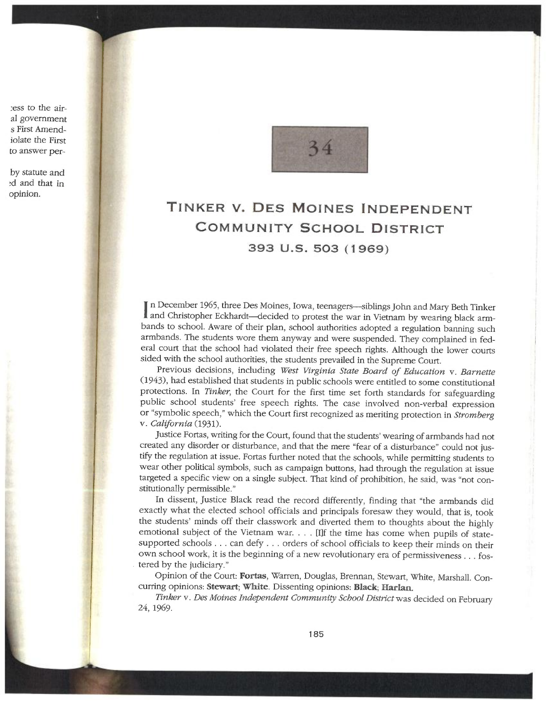:ess to the airal government <sup>s</sup> First Amendiolate the First to answer per-

by statute and 'd and that in <sup>o</sup>pinion.



# TINKER V. DES MOINES INDEPENDENT COMMUNITY SCHOOL DISTRICT 393 U.S. 503 (1969)

In December 1905, three Des Momes, Iowa, teenagers—sibilings John and Mary Beth Tinker<br>I and Christopher Eckhardt—decided to protest the war in Vietnam by wearing black arm<sup>n</sup>December 1965, three Des Moines, Iowa, teenagers—siblings John and Mary Beth Tinker bands to school. Aware of their plan, school authorities adopted a regulation banning such <sup>a</sup>rmbands. The students wore them anyway and were suspended. They complained in federal court that the school had violated their free speech rights. Although the lower courts <sup>s</sup>ided with the school authorities, the students prevailed in the Supreme Court.

Previous decisions, including West Virginia State Board of Education v. Barnette (1943), had established that students in public schools were entitled to some constitutional protections. In Tinker, the Court for the first time set forth standards for safeguarding <sup>p</sup>ublic school students' free speech rights. The case involved non-verbal expression <sup>o</sup>r "symbolic speech," which the Court first recognized as meriting protection in Stromberg <sup>v</sup>. California (1931).

<sup>J</sup>ustice Fortas, writing for the Court, found that the students' wearing of armbands had not <sup>c</sup>reated any disorder or disturbance, and that the mere "fear of a disturbance" could not justify the regulation at issue. Fortas further noted that the schools, while permitting students to <sup>w</sup>ear other political symbols, such as campaign buttons, had through the regulation at issue <sup>t</sup>argeted a specific view on a single subject. That kind of prohibition, he said, was "not constitutionally permissible,"

<sup>I</sup>n dissent, Justice Black read the record differently, finding that "the armbands did <sup>e</sup>xactly what the elected school officials and principals foresaw they would, that is, took the students' minds off their classwork and diverted them to thoughts about the highly <sup>e</sup>motional subject of the Vietnam war. . . . [I]f the time has come when pupils of statesupported schools . . . can defy . . . orders of school officials to keep their minds on their <sup>o</sup>wn school work, it is the beginning of a new revolutionary era of permissiveness . . . fostered by the judiciary."

<sup>O</sup>pinion of the Court: Fortas, Warren, Douglas, Brennan, Stewart, White, Marshall. Concurring opinions: Stewart; White. Dissenting opinions: Black; Harlan.

<sup>T</sup>inker v. Des Moines Independent Community School District was decided on February 24, 1969.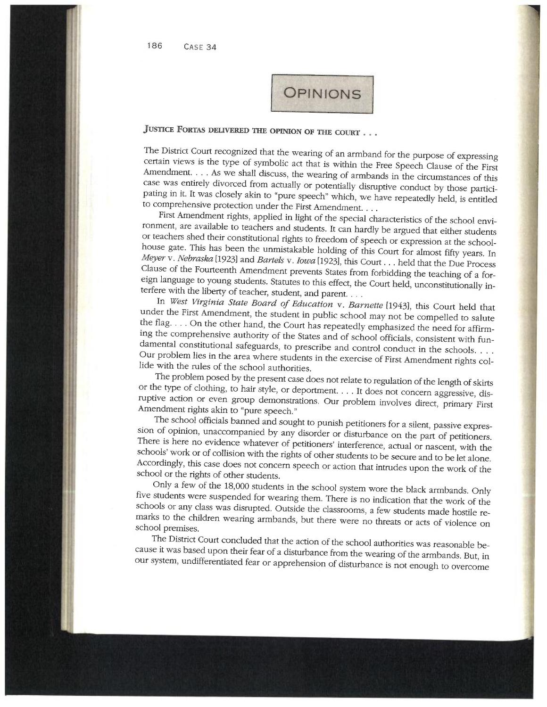186 CASE 34

OPINIONS

## JUSTICE FORTAS DELIVERED THE OPINION OF THE COURT . . .

The District Court recognized that the wearing of an armband for the purpose of expressing certain views is the type of symbolic act that is within the Free Speech Clause of the First Amendment. . . . As we shall discuss, the wearing of armbands in the circumstances of this case was entirely divorced from actually or potentially disruptive conduct by those participating in it. It was closely akin to "pure speech" which, we have repeatedly held, is entitled to comprehensive protection under the First Amendment.

<sup>F</sup>irst Amendment rights, applied in light of the special characteristics of the school envi ronment, are available to teachers and students. It can hardly be argued that either students house gate. This has been the unmistakable holding of this Court for almost fifty years. In *Meyer v. Nebraska* [1923] and *Bartels v. Iowa* [1923], this Court . . . held that the Due Process Clause of the Fourteenth Amend

In West Virginia State Board of Education v. Barnette [1943], this Court held that under the First Amendment, the student in public school may not be compelled to salute the flag... On the other hand, the Court has repeatedly emphasized the need for affirming the comprehensive authority of the States and of school officials, consistent with fundamental constitutional safeguards, to prescri <sup>O</sup>ur problem lies in the area where students in the exercise of First Amendment rights col- lide with the rules of the school authorities.

The problem posed by the present case does not relate to regulation of the length of skirts or the type of clothing, to hair style, or deportment. . . . It does not concern aggressive, disruptive action or even group demonstrations. Our problem involves direct, primary First<br>Amendment rights akin to "pure speech."<br>The school officials banned and sought to punish petitioners for a silent, passive expres-

sion of opinion, unaccompanied by any disorder or disturbance on the part of petitioners.<br>There is here no evidence whatever of petitioners' interference, actual or nascent, with the schools' work or of collision with the

five students were suspended for wearing them. There is no indication that the work of the schools or any class was disrupted. Outside the classrooms, a few students made hostile remarks to the children wearing armbands, b

cause it was based upon their fear of a disturbance from the wearing of the armbands. But, in<br>our system, undifferentiated fear or apprehension of disturbance is not enough to overcome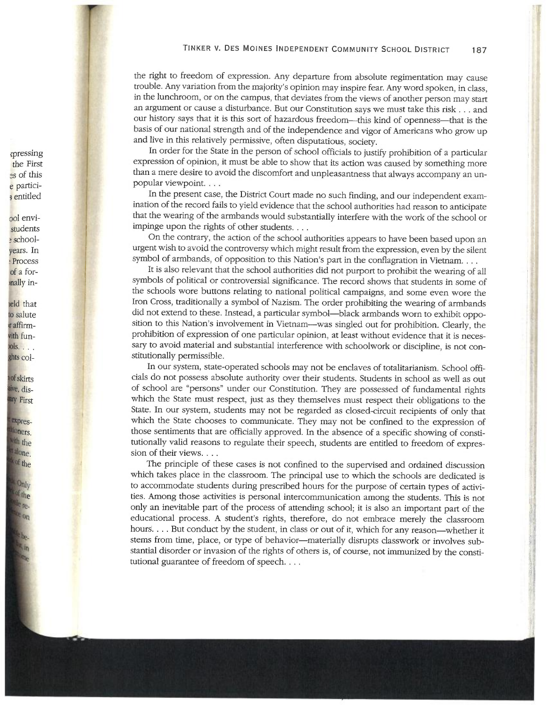<sup>t</sup>he right to freedom of expression. Any departure from absolute regimentation may cause <sup>t</sup>rouble. Any variation from the majority's opinion may inspire fear. Any word spoken, in class, <sup>i</sup>n the lunchroom, or on the campus, that deviates from the views of another person may start an argument or cause a disturbance. But our Constitution says we must take this risk . . . and <sup>o</sup>ur history says that it is this sort of hazardous freedom—this kind of openness—that is the <sup>b</sup>asis of our national strength and of the independence and vigor of Americans who grow up <sup>a</sup>nd live in this relatively permissive, often disputatious, society.

<sup>I</sup>n order for the State in the person of school officials to justify prohibition of a particular <sup>e</sup>xpression of opinion, it must be able to show that its action was caused by something more <sup>t</sup>han a mere desire to avoid the discomfort and unpleasantness that always accompany an unpopular viewpoint... .

<sup>I</sup>n the present case, the District Court made no such finding, and our independent examination of the record fails to yield evidence that the school authorities had reason to anticipate <sup>t</sup>hat the wearing of the armbands would substantially interfere with the work of the school or impinge upon the rights of other students. .. .

<sup>O</sup>n the contrary, the action of the school authorities appears to have been based upon an <sup>u</sup>rgent wish to avoid the controversy which might result from the expression, even by the silent <sup>s</sup>ymbol of armbands, of opposition to this Nation's part in the conflagration in Vietnam.. . .

<sup>I</sup>t is also relevant that the school authorities did not purport to prohibit the wearing of all <sup>s</sup>ymbols of political or controversial significance. The record shows that students in some of <sup>t</sup>he schools wore buttons relating to national political campaigns, and some even wore the <sup>I</sup>ron Cross, traditionally a symbol of Nazism. The order prohibiting the wearing of armbands did not extend to these. Instead, a particular symbol—black armbands worn to exhibit opposition to this Nation's involvement in Vietnam—was singled out for prohibition. Clearly, the <sup>p</sup>rohibition of expression of one particular opinion, at least without evidence that it is necessary to avoid material and substantial interference with schoolwork or discipline, is not constitutionally permissible.

<sup>I</sup>n our system, state-operated schools may not be enclaves of totalitarianism. School officials do not possess absolute authority over their students. Students in school as well as out <sup>o</sup>f school are "persons" under our Constitution. They are possessed of fundamental rights <sup>w</sup>hich the State must respect, just as they themselves must respect their obligations to the <sup>S</sup>tate. In our system, students may not be regarded as closed-circuit recipients of only that <sup>w</sup>hich the State chooses to communicate. They may not be confined to the expression of <sup>t</sup>hose sentiments that are officially approved. In the absence of a specific showing of constitutionally valid reasons to regulate their speech, students are entitled to freedom of expression of their views. . . .

<sup>T</sup>he principle of these cases is not confined to the supervised and ordained discussion <sup>w</sup>hich takes place in the classroom. The principal use to which the schools are dedicated is <sup>t</sup>o accommodate students during prescribed hours for the purpose of certain types of activities. Among those activities is personal intercommunication among the students. This is not <sup>o</sup>nly an inevitable part of the process of attending school; it is also an important part of the <sup>e</sup>ducational process. A student's rights, therefore, do not embrace merely the classroom <sup>h</sup>ours. ... But conduct by the student, in class or out of it, which for any reason—whether it <sup>s</sup>tems from time, place, or type of behavior—materially disrupts Glasswork or involves substantial disorder or invasion of the rights of others is, of course, not immunized by the constitutional guarantee of freedom of speech.. . .

pressing the First <sup>~</sup>s of this <sup>e</sup> partici<sup>e</sup>ntitled

ool envistudents <sup>s</sup>choolyears. In Process of a fornally in-

#### eld that to salute ~ <sup>r</sup>affirmvith fun- ~ols. . . . ghts col-

of skirts <sup>s</sup>ive, dis ary First

with the

alone.

expres-**Liners**.

of the

of the

le reat on

Only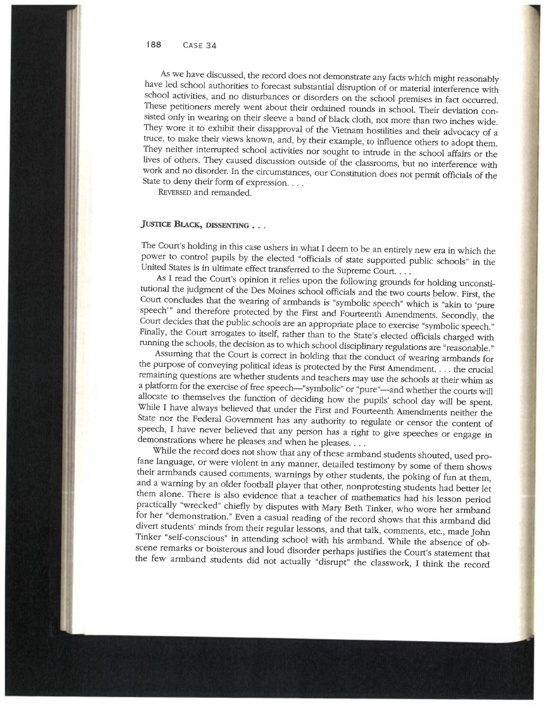<sup>A</sup>s we have discussed, the record does not demonstrate any facts which might reasonably <sup>h</sup>ave led school authorities to forecast substantial disruption of or material interference with school activities, and no disturbances or disorders on the school premises in fact occurred.<br>These petitioners merely went about their ordained rounds in school. Their deviation consisted only in wearing on their sleeve a band of black cloth, not more than two inches wide. <sup>T</sup>hey wore it to exhibit their disapproval of the Vietnam hostilities and their advocacy of <sup>a</sup> truce, to make their views known, and, by their example, to influence others to adopt them.<br>They neither interrupted school activities nor sought to intrude in the school affairs or the lives of others. They caused discussion outside of the classrooms, but no interference with <sup>w</sup>ork and no disorder. In the circumstances, our Constitution does not permit officials of the <sup>S</sup>tate to deny their form of expression... .

REVERSED and remanded.

### <sup>J</sup>USTICE BLACK, DISSENTING .. .

<sup>T</sup>he Court's holding in this case ushers in what I deem to be an entirely new era in which the <sup>p</sup>ower to control pupils by the elected "officials of state supported public schools" in the United States is in ultimate effect transferred to the Supreme Court....<br>As I read the Court's opinion it relies upon the following grounds for holding unconsti-

tutional the judgment of the Des Moines school officials and the two courts below. First, the Court concludes that the wearing of armbands is "symbolic speech" which is "akin to 'pure speech" and therefore protected by the Court decides that the public schools are an appropriate place to exercise "symbolic speech." <sup>F</sup>inally, the Court arrogates to itself, rather than to the State's elected officials charged with

running the schools, the decision as to which school disciplinary regulations are "reasonable." the purpose of conveying political ideas is protected by the First Amendment, . . . the crucial <sup>r</sup>emaining questions are whether students and teachers may use the schools at their whim as <sup>a</sup> platform for the exercise of free speech—"symbolic" or "pure"—and whether the courts will While I have always believed that under the First and Fourteenth Amendments neither the<br>State nor the Federal Government has any authority to regulate or censor the content of speech, I have never believed that any person has a right to give speeches or engage in demonstrations where he pleases and when he pleases. . . . While the record does not show that any of these armband students shouted,

fane language, or were violent in any manner, detailed testimony by some of them shows<br>their armbands caused comments, warnings by other students, the poking of fun at them,<br>and a warning by an older football player that o them alone. There is also evidence that a teacher of mathematics had his lesson period<br>practically "wrecked" chiefly by disputes with Mary Beth Tinker, who wore her armband for her "demonstration." Even a casual reading of the record shows that this armband did<br>divert students' minds from their regular lessons, and that talk, comments, etc., made John<br>Tinker "self-conscious" in attending scho the few armband students did not actually "disrupt" the classwork, I think the record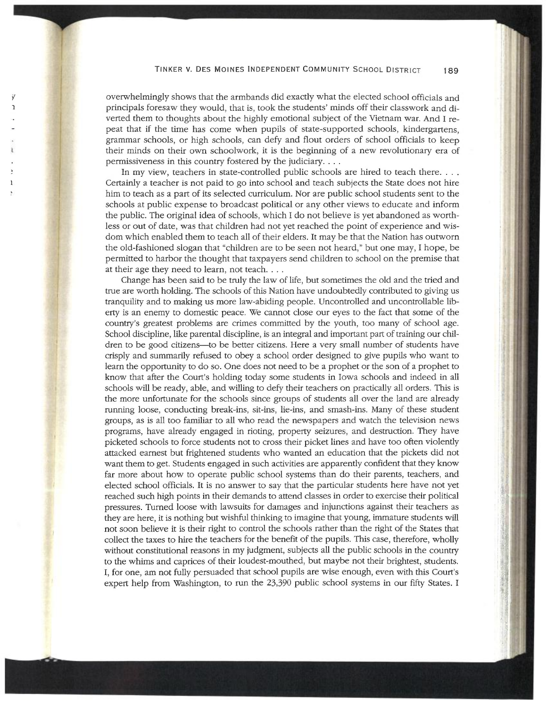#### TINKER V. DES MOINES INDEPENDENT COMMUNITY SCHOOL DISTRICT 189

overwhelmingly shows that the armbands did exactly what the elected school officials and principals foresaw they would, that is, took the students' minds off their classwork and diverted them to thoughts about the highly emotional subject of the Vietnam war. And I repeat that if the time has come when pupils of state-supported schools, kindergartens, grammar schools, or high schools, can defy and flout orders of school officials to keep their minds on their own schoolwork, it is the beginning of a new revolutionary era of permissiveness in this country fostered by the judiciary... .

In my view, teachers in state-controlled public schools are hired to teach there. . . . Certainly a teacher is not paid to go into school and teach subjects the State does not hire him to teach as a part of its selected curriculum. Nor are public school students sent to the schools at public expense to broadcast political or any other views to educate and inform the public. The original idea of schools, which I do not believe is yet abandoned as worthless or out of date, was that children had not yet reached the point of experience and wisdom which enabled them to teach all of their elders. It may be that the Nation has outworn the old-fashioned slogan that "children are to be seen not heard," but one may, I hope, be permitted to harbor the thought that taxpayers send children to school on the premise that at their age they need to learn, not teach. . . .

Change has been said to be truly the law of life, but sometimes the old and the tried and true are worth holding. The schools of this Nation have undoubtedly contributed to giving us I tranquility and to making us more law-abiding people. Uncontrolled and uncontrollable liberty is an enemy to domestic peace. We cannot close our eyes to the fact that some of the country's greatest problems are crimes committed by the youth, too many of school age. School discipline, like parental discipline, is an integral and important part of training our children to be good citizens—to be better citizens. Here a very small number of students have crisply and summarily refused to obey a school order designed to give pupils who want to learn the opportunity to do so. One does not need to be a prophet or the son of a prophet to know that after the Court's holding today some students in Iowa schools and indeed in all schools will be ready, able, and willing to defy their teachers on practically all orders. This is the more unfortunate for the schools since groups of students all over the land are already running loose, conducting break-ins, sit-ins, lie-ins, and smash-ins. Many of these student groups, as is all too familiar to all who read the newspapers and watch the television news programs, have already engaged in rioting, property seizures, and destruction. They have picketed schools to force students not to cross their picket lines and have too often violently attacked earnest but frightened students who wanted an education that the pickets did not want them to get. Students engaged in such activities are apparently confident that they know far more about how to operate public school systems than do their parents, teachers, and elected school officials. It is no answer to say that the particular students here have not yet reached such high points in their demands to attend classes in order to exercise their political pressures. Turned loose with lawsuits for damages and injunctions against their teachers as they are here, it is nothing but wishful thinking to imagine that young, immature students will not soon believe it is their right to control the schools rather than the right of the States that ~ collect the taxes to hire the teachers for the benefit of the pupils. This case, therefore, wholly without constitutional reasons in my judgment, subjects all the public schools in the country to the whims and caprices of their loudest-mouthed, but maybe not their brightest, students. I, for one, am not fully persuaded that school pupils are wise enough, even with this Court's expert help from Washington, to run the 23,390 public school systems in our fifty States. I

~ ~

;,~~ r"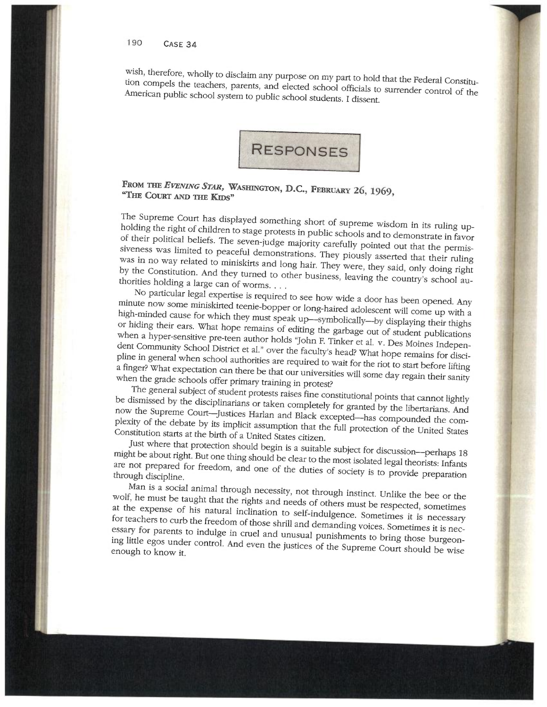tion <sup>w</sup>ish, therefore, wholly to disclaim any purpose on my part to hold that the Federal Constitucompels the teachers, parents, and elected school officials to surrender control of the site is surrender school system to public school students. I dissent. <sup>A</sup>merican public school



#### trom the *evening Star*, Washington, D.C., February 26, 1969,<br>"The Court and the Kids" "THE COURT AND THE KIDS"

T he Supreme Court has displayed something short of supreme wisdom in its ruling upholding the right of nolding the right of children to stage protests in public schools and to demonstrate in favor<br>of their political beliefs. The seven-judge majority can full or their political beliefs. The seven-judge majority carefully pointed out that the permis-<br>siveness was limited to peaceful demonstrations. The was in no way related to miniskirts and long hair. They were, they said, only doing right<br>by the Constitution, And they turned to sthe link siveness was limited to peaceful demonstrations. They piously asserted that their ruling by the Constitution. And they turned to other business, leaving the country's school au-<br>thorities holding a large can of worms.... thorities holding a large can of worms. . . .

minute now some r No now particular legal expertise is required to see how wide a door has been opened. Any minute now some miniskirted teenie-bopper or long-haired adolescent will come up with a<br>high-minded cause for which they must speak up a symbol: " mgn-minded cause for which they must speak up—symbolically—by displaying their thighs<br>or hiding their ears. What hope remains of editing the seal when a hyper-sensitive pre-teen author holds "John F. Tinker et al. v. Des Moines Indepen-<br>dent Community School District et al." are al. J. J. Tinker et al. v. Des Moines Indepenor hiding their ears. What hope remains of editing the garbage out of student publications dent Community School District et al." over the faculty's head? What hope remains for disci-<br>pline in general when school surful it. pline in general when school authorities are required to wait for the riot to start before lifting<br>a finger? What expectation can there be that survey is not for the riot to start before lifting a finger? What expectation can there be that our universities will some day regain their sanity when the grade schools offer primary training in protest? when the grade schools offer primary training in protest?

be dismissed by the disciplinarians or taken completely for granted by the libertarians. And<br>now the Supreme Court, Justices Hell <sup>T</sup>he general subject of student protests raises fine constitutional points that cannot lightly now the Supreme Court—Justices Harlan and Black excepted—has compounded the com-<br>plexity of the debate by its insalisi plexiry of the debate plexity of the debate by its implicit assumption that the full protection of the United States Constitution starts at the birth of a United States citizen.

might be about right. But one thing should be clear to the most isolated legal theorists: Infants  $|$ ust  $\nabla$ be a where that protection should begin is a suitable subject for discussion—perhaps 18<br>about right. But one thing should be alled the subject for discussion—perhaps 18 are not prepared for freedom, and one of the duties of society is to provide preparation through discipline. through discipline.

wolf, he must be taught that the rights and needs of others must be respected, sometimes M he r an must t is a social animal through necessity, not through instinct. Unlike the bee or the <sup>a</sup>t the expense at the expense of his natural inclination to self-indulgence. Sometimes it is necessary<br>for teachers to curb the freedom of those shrill and dentity in the metal essary for parents to indulge in cruel and unusual punishments to bring those burgeon-<br>ing little egos under control. And area that is with the state of this those burgeonfor teachers to curb the freedom of those shrill and demanding voices. Sometimes it is necing little egos <sup>e</sup>nough to know under der control. And even the justices of the Supreme Court should be wise<br>it.